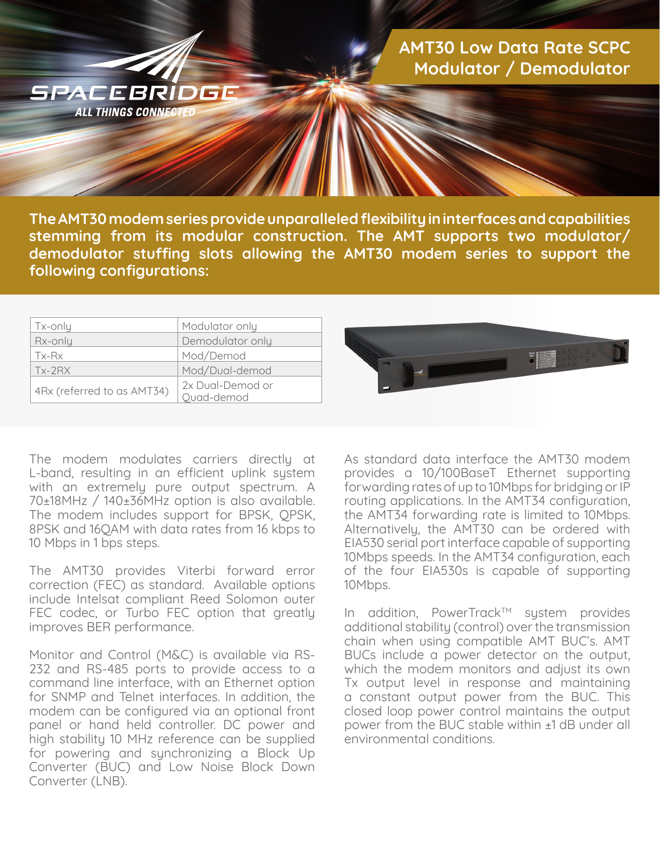

**The AMT30 modem series provide unparalleled flexibility in interfaces and capabilities stemming from its modular construction. The AMT supports two modulator/ demodulator stuffing slots allowing the AMT30 modem series to support the following configurations:**

| Tx-only                    | Modulator only   |
|----------------------------|------------------|
| Rx-only                    | Demodulator only |
| Tx-Rx                      | Mod/Demod        |
| $Tx-2RX$                   | Mod/Dual-demod   |
|                            | 2x Dual-Demod or |
| 4Rx (referred to as AMT34) | Quad-demod       |

The modem modulates carriers directly at L-band, resulting in an efficient uplink system with an extremely pure output spectrum. A 70±18MHz / 140±36MHz option is also available. The modem includes support for BPSK, QPSK, 8PSK and 16QAM with data rates from 16 kbps to 10 Mbps in 1 bps steps.

The AMT30 provides Viterbi forward error correction (FEC) as standard. Available options include Intelsat compliant Reed Solomon outer FEC codec, or Turbo FEC option that greatly improves BER performance.

Monitor and Control (M&C) is available via RS-232 and RS-485 ports to provide access to a command line interface, with an Ethernet option for SNMP and Telnet interfaces. In addition, the modem can be configured via an optional front panel or hand held controller. DC power and high stability 10 MHz reference can be supplied for powering and synchronizing a Block Up Converter (BUC) and Low Noise Block Down Converter (LNB).



As standard data interface the AMT30 modem provides a 10/100BaseT Ethernet supporting forwarding rates of up to 10Mbps for bridging or IP routing applications. In the AMT34 configuration, the AMT34 forwarding rate is limited to 10Mbps. Alternatively, the AMT30 can be ordered with EIA530 serial port interface capable of supporting 10Mbps speeds. In the AMT34 configuration, each of the four EIA530s is capable of supporting 10Mbps.

In addition, PowerTrack™ system provides additional stability (control) over the transmission chain when using compatible AMT BUC's. AMT BUCs include a power detector on the output, which the modem monitors and adjust its own Tx output level in response and maintaining a constant output power from the BUC. This closed loop power control maintains the output power from the BUC stable within ±1 dB under all environmental conditions.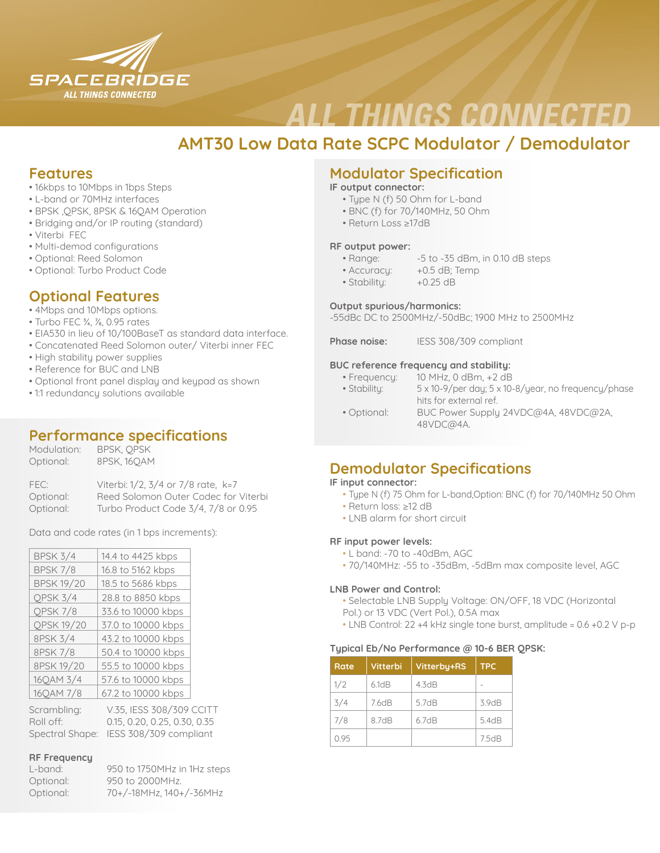

# **ALL THINGS CONNECTED**

## **AMT30 Low Data Rate SCPC Modulator / Demodulator**

## **Features**

- 16kbps to 10Mbps in 1bps Steps
- L-band or 70MHz interfaces
- BPSK ,QPSK, 8PSK & 16QAM Operation
- Bridging and/or IP routing (standard)
- Viterbi FEC
- Multi-demod configurations
- Optional: Reed Solomon
- Optional: Turbo Product Code

## **Optional Features**

- 4Mbps and 10Mbps options.
- Turbo FEC ¾, ⅞, 0.95 rates
- EIA530 in lieu of 10/100BaseT as standard data interface.
- Concatenated Reed Solomon outer/ Viterbi inner FEC
- High stability power supplies
- Reference for BUC and LNB
- Optional front panel display and keypad as shown
- 1:1 redundancy solutions available

## **Performance specifications**

| Modulation: | BPSK, OPSK  |
|-------------|-------------|
| Optional:   | 8PSK, 160AM |

| FEC:      | Viterbi: 1/2, 3/4 or 7/8 rate, k=7   |
|-----------|--------------------------------------|
| Optional: | Reed Solomon Outer Codec for Viterbi |
| Optional: | Turbo Product Code 3/4, 7/8 or 0.95  |

Data and code rates (in 1 bps increments):

| <b>BPSK 3/4</b>   | 14.4 to 4425 kbps   |
|-------------------|---------------------|
| <b>BPSK 7/8</b>   | 16.8 to 5162 kbps   |
| <b>BPSK 19/20</b> | 18.5 to 5686 kbps   |
| QPSK 3/4          | 28.8 to 8850 kbps   |
| QPSK 7/8          | 33.6 to 10000 kbps  |
| <b>QPSK 19/20</b> | 37.0 to 10000 kbps  |
| 8PSK 3/4          | 43.2 to 10000 kbps  |
| 8PSK 7/8          | 50.4 to 10000 kbps  |
| 8PSK 19/20        | 55.5 to 10000 kbps  |
| 16QAM 3/4         | 57.6 to 10000 kbps  |
| 16QAM 7/8         | 67.2 to 10000 kbps  |
| Caramblina        | 1/75 IFCC 700/700 / |

| Scrambling: | V.35, IESS 308/309 CCITT               |
|-------------|----------------------------------------|
| Roll off: I | 0.15, 0.20, 0.25, 0.30, 0.35           |
|             | Spectral Shape: IESS 308/309 compliant |

## **RF Frequency**

| L-band:   | 950 to 1750MHz in 1Hz steps |
|-----------|-----------------------------|
| Optional: | 950 to 2000MHz.             |
| Optional: | 70+/-18MHz.140+/-36MHz      |

## **Modulator Specification**

**IF output connector:**

- Type N (f) 50 Ohm for L-band
- BNC (f) for 70/140MHz, 50 Ohm
- Return Loss ≥17dB

### **RF output power:**

- Range: -5 to -35 dBm, in 0.10 dB steps
- Accuracu: +0.5 dB: Temp
- Stability: +0.25 dB

### **Output spurious/harmonics:**

-55dBc DC to 2500MHz/-50dBc; 1900 MHz to 2500MHz

**Phase noise:** IESS 308/309 compliant

## **BUC reference frequency and stability:**

- Frequency: 10 MHz, 0 dBm, +2 dB
- Stability: 5 x 10-9/per day; 5 x 10-8/year, no frequency/phase hits for external ref.
- Optional: BUC Power Supply 24VDC@4A, 48VDC@2A, 48VDC@4A.

## **Demodulator Specifications**

### **IF input connector:**

- Type N (f) 75 Ohm for L-band,Option: BNC (f) for 70/140MHz 50 Ohm
- Return loss: ≥12 dB
- LNB alarm for short circuit

## **RF input power levels:**

- L band: -70 to -40dBm, AGC
- 70/140MHz: -55 to -35dBm, -5dBm max composite level, AGC

### **LNB Power and Control:**

• Selectable LNB Supply Voltage: ON/OFF, 18 VDC (Horizontal Pol.) or 13 VDC (Vert Pol.), 0.5A max

• LNB Control: 22 +4 kHz single tone burst, amplitude = 0.6 +0.2 V p-p

### **Typical Eb/No Performance @ 10-6 BER QPSK:**

| Rate | Vitterbi,  | Vitterby+RS | <b>TPC</b> |
|------|------------|-------------|------------|
| 1/2  | $61$ d $B$ | 43dB        |            |
| 3/4  | 7.6dB      | 5.7dB       | 3.9dB      |
| 7/8  | 87dB       | 67dB        | 5.4dB      |
| 0.95 |            |             | 75dB       |